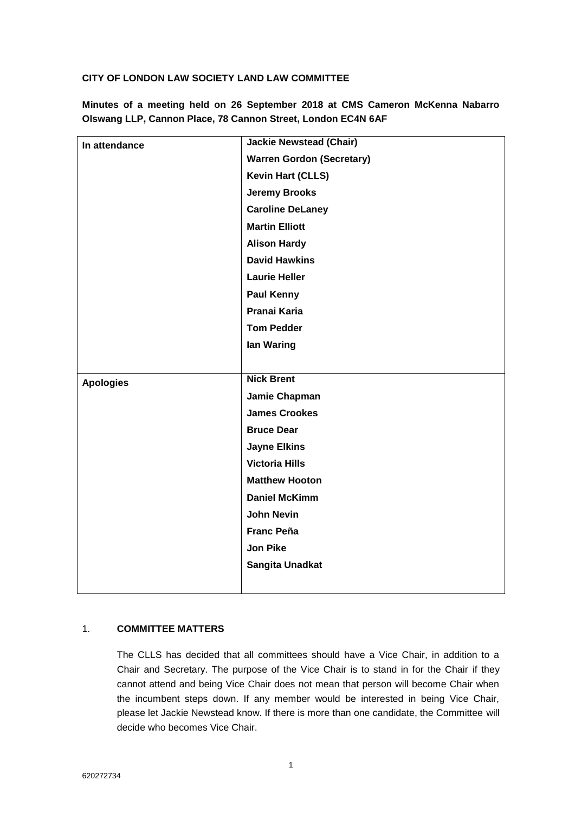### **CITY OF LONDON LAW SOCIETY LAND LAW COMMITTEE**

**Minutes of a meeting held on 26 September 2018 at CMS Cameron McKenna Nabarro Olswang LLP, Cannon Place, 78 Cannon Street, London EC4N 6AF**

| In attendance    | <b>Jackie Newstead (Chair)</b>   |
|------------------|----------------------------------|
|                  | <b>Warren Gordon (Secretary)</b> |
|                  | <b>Kevin Hart (CLLS)</b>         |
|                  | <b>Jeremy Brooks</b>             |
|                  | <b>Caroline DeLaney</b>          |
|                  | <b>Martin Elliott</b>            |
|                  | <b>Alison Hardy</b>              |
|                  | <b>David Hawkins</b>             |
|                  | <b>Laurie Heller</b>             |
|                  | <b>Paul Kenny</b>                |
|                  | <b>Pranai Karia</b>              |
|                  | <b>Tom Pedder</b>                |
|                  | lan Waring                       |
|                  |                                  |
| <b>Apologies</b> | <b>Nick Brent</b>                |
|                  | Jamie Chapman                    |
|                  | <b>James Crookes</b>             |
|                  | <b>Bruce Dear</b>                |
|                  | <b>Jayne Elkins</b>              |
|                  | <b>Victoria Hills</b>            |
|                  | <b>Matthew Hooton</b>            |
|                  | <b>Daniel McKimm</b>             |
|                  | <b>John Nevin</b>                |
|                  | <b>Franc Peña</b>                |
|                  | <b>Jon Pike</b>                  |
|                  | Sangita Unadkat                  |
|                  |                                  |

### 1. **COMMITTEE MATTERS**

The CLLS has decided that all committees should have a Vice Chair, in addition to a Chair and Secretary. The purpose of the Vice Chair is to stand in for the Chair if they cannot attend and being Vice Chair does not mean that person will become Chair when the incumbent steps down. If any member would be interested in being Vice Chair, please let Jackie Newstead know. If there is more than one candidate, the Committee will decide who becomes Vice Chair.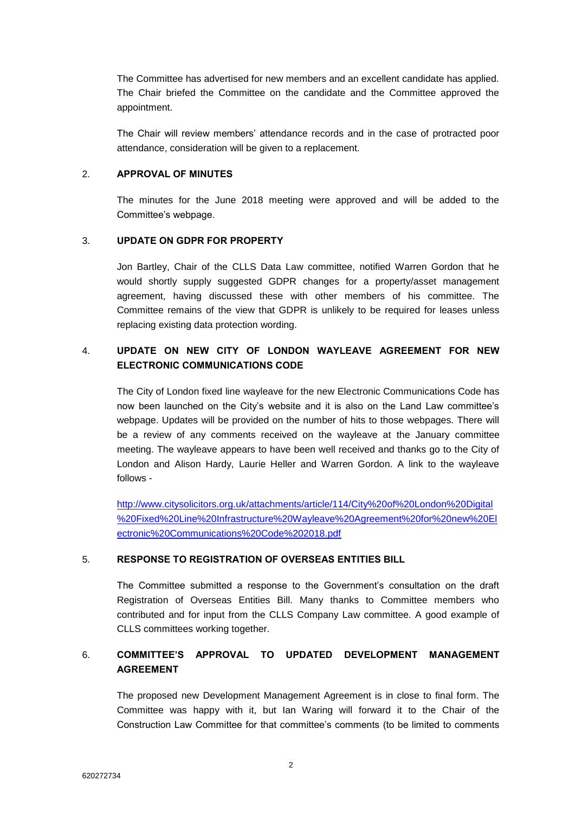The Committee has advertised for new members and an excellent candidate has applied. The Chair briefed the Committee on the candidate and the Committee approved the appointment.

The Chair will review members' attendance records and in the case of protracted poor attendance, consideration will be given to a replacement.

#### 2. **APPROVAL OF MINUTES**

The minutes for the June 2018 meeting were approved and will be added to the Committee's webpage.

# 3. **UPDATE ON GDPR FOR PROPERTY**

Jon Bartley, Chair of the CLLS Data Law committee, notified Warren Gordon that he would shortly supply suggested GDPR changes for a property/asset management agreement, having discussed these with other members of his committee. The Committee remains of the view that GDPR is unlikely to be required for leases unless replacing existing data protection wording.

# 4. **UPDATE ON NEW CITY OF LONDON WAYLEAVE AGREEMENT FOR NEW ELECTRONIC COMMUNICATIONS CODE**

The City of London fixed line wayleave for the new Electronic Communications Code has now been launched on the City's website and it is also on the Land Law committee's webpage. Updates will be provided on the number of hits to those webpages. There will be a review of any comments received on the wayleave at the January committee meeting. The wayleave appears to have been well received and thanks go to the City of London and Alison Hardy, Laurie Heller and Warren Gordon. A link to the wayleave follows -

[http://www.citysolicitors.org.uk/attachments/article/114/City%20of%20London%20Digital](http://www.citysolicitors.org.uk/attachments/article/114/City%20of%20London%20Digital%20Fixed%20Line%20Infrastructure%20Wayleave%20Agreement%20for%20new%20Electronic%20Communications%20Code%202018.pdf) [%20Fixed%20Line%20Infrastructure%20Wayleave%20Agreement%20for%20new%20El](http://www.citysolicitors.org.uk/attachments/article/114/City%20of%20London%20Digital%20Fixed%20Line%20Infrastructure%20Wayleave%20Agreement%20for%20new%20Electronic%20Communications%20Code%202018.pdf) [ectronic%20Communications%20Code%202018.pdf](http://www.citysolicitors.org.uk/attachments/article/114/City%20of%20London%20Digital%20Fixed%20Line%20Infrastructure%20Wayleave%20Agreement%20for%20new%20Electronic%20Communications%20Code%202018.pdf)

#### 5. **RESPONSE TO REGISTRATION OF OVERSEAS ENTITIES BILL**

The Committee submitted a response to the Government's consultation on the draft Registration of Overseas Entities Bill. Many thanks to Committee members who contributed and for input from the CLLS Company Law committee. A good example of CLLS committees working together.

# 6. **COMMITTEE'S APPROVAL TO UPDATED DEVELOPMENT MANAGEMENT AGREEMENT**

The proposed new Development Management Agreement is in close to final form. The Committee was happy with it, but Ian Waring will forward it to the Chair of the Construction Law Committee for that committee's comments (to be limited to comments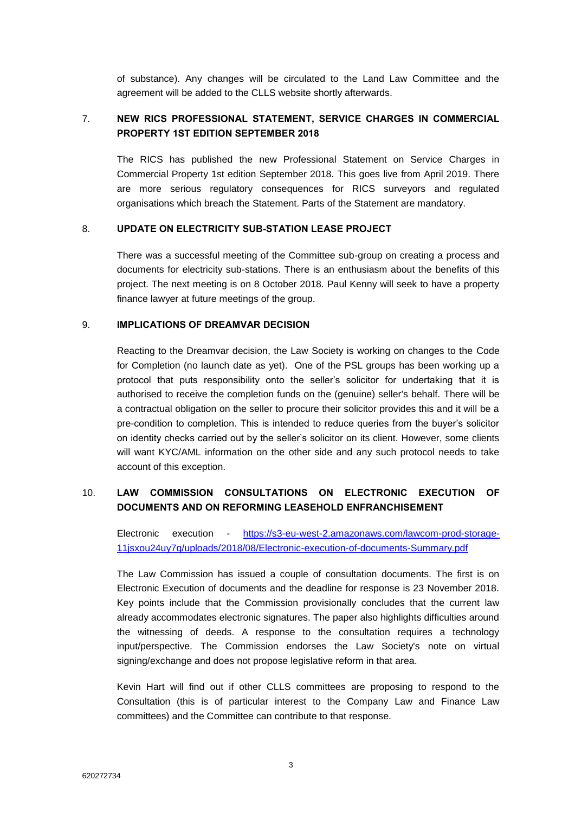of substance). Any changes will be circulated to the Land Law Committee and the agreement will be added to the CLLS website shortly afterwards.

# 7. **NEW RICS PROFESSIONAL STATEMENT, SERVICE CHARGES IN COMMERCIAL PROPERTY 1ST EDITION SEPTEMBER 2018**

The RICS has published the new Professional Statement on Service Charges in Commercial Property 1st edition September 2018. This goes live from April 2019. There are more serious regulatory consequences for RICS surveyors and regulated organisations which breach the Statement. Parts of the Statement are mandatory.

#### 8. **UPDATE ON ELECTRICITY SUB-STATION LEASE PROJECT**

There was a successful meeting of the Committee sub-group on creating a process and documents for electricity sub-stations. There is an enthusiasm about the benefits of this project. The next meeting is on 8 October 2018. Paul Kenny will seek to have a property finance lawyer at future meetings of the group.

#### 9. **IMPLICATIONS OF DREAMVAR DECISION**

Reacting to the Dreamvar decision, the Law Society is working on changes to the Code for Completion (no launch date as yet). One of the PSL groups has been working up a protocol that puts responsibility onto the seller's solicitor for undertaking that it is authorised to receive the completion funds on the (genuine) seller's behalf. There will be a contractual obligation on the seller to procure their solicitor provides this and it will be a pre-condition to completion. This is intended to reduce queries from the buyer's solicitor on identity checks carried out by the seller's solicitor on its client. However, some clients will want KYC/AML information on the other side and any such protocol needs to take account of this exception.

# 10. **LAW COMMISSION CONSULTATIONS ON ELECTRONIC EXECUTION OF DOCUMENTS AND ON REFORMING LEASEHOLD ENFRANCHISEMENT**

Electronic execution - [https://s3-eu-west-2.amazonaws.com/lawcom-prod-storage-](https://s3-eu-west-2.amazonaws.com/lawcom-prod-storage-11jsxou24uy7q/uploads/2018/08/Electronic-execution-of-documents-Summary.pdf)[11jsxou24uy7q/uploads/2018/08/Electronic-execution-of-documents-Summary.pdf](https://s3-eu-west-2.amazonaws.com/lawcom-prod-storage-11jsxou24uy7q/uploads/2018/08/Electronic-execution-of-documents-Summary.pdf)

The Law Commission has issued a couple of consultation documents. The first is on Electronic Execution of documents and the deadline for response is 23 November 2018. Key points include that the Commission provisionally concludes that the current law already accommodates electronic signatures. The paper also highlights difficulties around the witnessing of deeds. A response to the consultation requires a technology input/perspective. The Commission endorses the Law Society's note on virtual signing/exchange and does not propose legislative reform in that area.

Kevin Hart will find out if other CLLS committees are proposing to respond to the Consultation (this is of particular interest to the Company Law and Finance Law committees) and the Committee can contribute to that response.